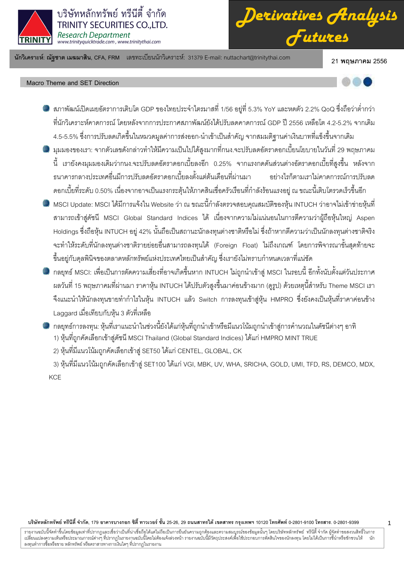

*Derivatives Analysis Futures*

นักวิเคราะห์: ณัฐชาต เมฆมาสิน, CFA, FRM แลขทะเบียนนักวิเคราะห์: 31379 E-mail: nuttachart@trinitythai.com 21 **พ** 

21 พฤษภาคม 2556

# Macro Theme and SET Direction



1

- สภาพัฒน์เปิดเผยอัตราการเติบโต GDP ของไทยประจำไตรมาสที่ 1/56 อยู่ที่ 5.3% YoY และหดตัว 2.2% QoQ ซึ่งถือว่าต่ำกว่า ที่นักวิเคราะห์คาดการณ์ โดยหลังจากการประกาศสภาพัฒน์ยังได้ปรับลดคาดการณ์ GDP ปี 2556 เหลือโต 4.2-5.2% จากเดิม 4.5-5.5% ซึ่งการปรับลดเกิดขึ้นในหมวดมูลค่าการส่งออก-นำเข้าเป็นสำคัญ จากสมมติฐานค่าเงินบาทที่แข็งขึ้นจากเดิม
- มุมมองของเรา: จากตัวเลขดังกล่าวทำให้มีความเป็นไปได้สูงมากที่กนง.จะปรับลดอัตราดอกเบี้ยนโยบายในวันที่ 29 พฤษภาคม นี้ เรายังคงมุมมองเดิมว่ากนง.จะปรับลดอัตราดอกเบี้ยลงอีก 0.25% จากแรงกดดันส่วนต่างอัตราดอกเบี้ยที่สูงขึ้น หลังจาก ธนาคารกลางประเทศอื่นมีการปรับลดอัตราดอกเบี้ยลงตั้งแต่ต้นเดือนที่ผ่านมา อย่างไร ก็ตามเราไม่คาดการณ์การปรับลด ดอกเบี้ยที่ระดับ 0.50% เนื่องจากอาจเป็นแรงกระตุ้นให้ภาคสินเชื่อครัวเรือนที่กำลังร้อนแรงอยู่ ณ ขณะนี้เติบโตรวดเร็วขึ้นอีก
- MSCI Update: MSCI ได้มีการแจ้งใน Website ว่า ณ ขณะนี้กำลังตรวจสอบคุณสมบัติของหุ้น INTUCH ว่าอาจไม่เข้าข่ายหุ้นที่ สามารถเข้าสู่ดัชนี MSCI Global Standard Indices ได้ เนื่องจากความไม่แน่นอนในการตีความว่าผู้ถือหุ้นใหญ่ Aspen Holdings ซึ่งถือหุ้น INTUCH อยู่ 42% นั้นถือเป็นสถานะนักลงทุนต่างชาติหรือไม่ ซึ่งถ้าหากตีความว่าเป็นนักลงทุนต่างชาติจริง จะทำให้ระดับที่นักลงทุนต่างชาติรายย่อยอื่นสามารถลงทุนได้ (Foreign Float) ไม่ถึงเกณฑ์ โดยการพิจารณาขั้นสุดท้ายจะ ขึ้นอยู่กับคุลพินิจของตลาดหลักทรัพย์แห่งประเทศไทยเป็นสำคัญ ซึ่งเรายังไม่ทราบกำหนดเวลาที่แน่ชัด
- กลยุทธ์ MSCI: เพื่อเป็นการตัดความเสี่ยงที่อาจเกิดขึ้นหาก INTUCH ไม่ถูกนำเข้าสู่ MSCI ในรอบนี้ อีกทั้งนับตั้งแต่วันประกาศ ผลวันที่ 15 พฤษภาคมที่ผ่านมา ราคาหุ้น INTUCH ได้ปรับตัวสูงขึ้นมาค่อนข้างมาก (ดูรูป) ด้วยเหตุนี้สำหรับ Theme MSCI เรา จึงแนะนำให้นักลงทุนขายทำกำไรในหุ้น INTUCH แล้ว Switch การลงทุนเข้าสู่หุ้น HMPRO ซึ่งยังคงเป็นหุ้นที่ราคาค่อนข้าง Laggard เมื่อเทียบกับหุ้น 3 ตัวที่เหลือ
- กลยุทธ์การลงทุน: หุ้นที่เราแนะนำในช่วงนี้ยังได้แก่หุ้นที่ถูกนำเข้าหรือมีแนวโน้มถูกนำเข้าสู่การคำนวณในดัชนีต่างๆ อาทิ 1) หุ้นที่ถูกคัดเลือกเข้าสู่ดัชนี MSCI Thailand (Global Standard Indices) ได้แก่ HMPRO MINT TRUE
	- 2) หุ้นที่มีแนวโน้มถูกคัดเลือกเข้าสู่ SET50 ได้แก่ CENTEL, GLOBAL, CK

3) หุ้นที่มีแนวโน้มถูกคัดเลือกเข้าสู่ SET100 ได้แก่ VGI, MBK, UV, WHA, SRICHA, GOLD, UMI, TFD, RS, DEMCO, MDX, **KCE** 

# บริษัทหลักทรัพย์ ทรีนีตี้ จำกัด, 179 อาคารบางกอก ซิตี้ ทาวเวอร์ ชั้น 25-26, 29 ถนนสาทรใต้ เตตสาห กรุงเทพฯ 10120 โทรศัพท์ 0-2801-9100 โทรสาร. 0-2801-9399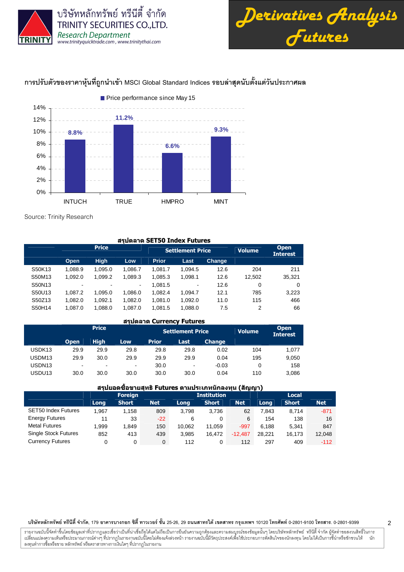

บริษัทหลักทรัพย์ ทรีนีตี้ จำกัด TRINITY SECURITIES CO., LTD. Research Department



# การปรับตัวของราคาหุ้นที่ถูกนำเข้า MSCI Global Standard Indices รอบล่าสุดนับตั้งแต่วันประกาศผล



Source: Trinity Research

|        | สรุปตลาด SET50 Index Futures |                          |         |              |                              |        |               |                                |  |  |  |  |  |
|--------|------------------------------|--------------------------|---------|--------------|------------------------------|--------|---------------|--------------------------------|--|--|--|--|--|
|        |                              | <b>Price</b>             |         |              | <b>Settlement Price</b>      |        | <b>Volume</b> | <b>Open</b><br><b>Interest</b> |  |  |  |  |  |
|        | Open                         | <b>High</b>              | Low     | <b>Prior</b> | Last                         | Change |               |                                |  |  |  |  |  |
| S50K13 | 1.088.9                      | 1.095.0                  | 1.086.7 | 1.081.7      | 1.094.5                      | 12.6   | 204           | 211                            |  |  |  |  |  |
| S50M13 | 1.092.0                      | 1.099.2                  | 1.089.3 | 1,085.3      | 1.098.1                      | 12.6   | 12.502        | 35,321                         |  |  |  |  |  |
| S50N13 | $\overline{\phantom{a}}$     | $\overline{\phantom{0}}$ |         | 1,081.5      | $\qquad \qquad \blacksquare$ | 12.6   | 0             | 0                              |  |  |  |  |  |
| S50U13 | 1.087.2                      | 1.095.0                  | 1.086.0 | 1,082.4      | 1.094.7                      | 12.1   | 785           | 3,223                          |  |  |  |  |  |
| S50Z13 | 1,082.0                      | 1,092.1                  | 1,082.0 | 1,081.0      | 1,092.0                      | 11.0   | 115           | 466                            |  |  |  |  |  |
| S50H14 | 1,087.0                      | 1,088.0                  | 1,087.0 | 1,081.5      | 1,088.0                      | 7.5    | 2             | 66                             |  |  |  |  |  |

# สรุปตลาด Currency Futures

|                    |                | <b>Price</b>             |                          |              | <b>Settlement Price</b> | <b>Volume</b> | <b>Open</b><br><b>Interest</b> |       |
|--------------------|----------------|--------------------------|--------------------------|--------------|-------------------------|---------------|--------------------------------|-------|
|                    | <b>Open</b>    | <b>High</b>              | Low                      | <b>Prior</b> | Last                    | <b>Change</b> |                                |       |
| USDK <sub>13</sub> | 29.9           | 29.9                     | 29.8                     | 29.8         | 29.8                    | 0.02          | 104                            | 1.077 |
| USDM13             | 29.9           | 30.0                     | 29.9                     | 29.9         | 29.9                    | 0.04          | 195                            | 9,050 |
| USDN <sub>13</sub> | $\blacksquare$ | $\overline{\phantom{0}}$ | $\overline{\phantom{a}}$ | 30.0         | $\,$                    | $-0.03$       | 0                              | 158   |
| USDU <sub>13</sub> | 30.0           | 30.0                     | 30.0                     | 30.0         | 30.0                    | 0.04          | 110                            | 3,086 |

# ี สรปยอดขี้อขายสุทธิ Futures ตามประเภทนักลงทุน (สัญญา)

|                             |       | <b>Foreign</b> |            |        | <b>Institution</b> |            | Local  |              |            |  |
|-----------------------------|-------|----------------|------------|--------|--------------------|------------|--------|--------------|------------|--|
|                             | Long  | <b>Short</b>   | <b>Net</b> | Long   | <b>Short</b>       | <b>Net</b> | Long   | <b>Short</b> | <b>Net</b> |  |
| <b>SET50 Index Futures</b>  | 1.967 | 1.158          | 809        | 3.798  | 3.736              | 62         | 7.843  | 8.714        | $-871$     |  |
| <b>Energy Futures</b>       | 11    | 33             | $-22$      | 6      |                    | 6          | 154    | 138          | 16         |  |
| <b>Metal Futures</b>        | 999.  | 1.849          | 150        | 10.062 | 11.059             | $-997$     | 6.188  | 5.341        | 847        |  |
| <b>Single Stock Futures</b> | 852   | 413            | 439        | 3.985  | 16.472             | $-12.487$  | 28.221 | 16.173       | 12,048     |  |
| <b>Currency Futures</b>     |       | 0              | 0          | 112    |                    | 112        | 297    | 409          | $-112$     |  |

### บริษัทหลักทรัพย์ ทรีนีตี้ จำกัด, 179 อาคารบางกอก ซิตี้ ทาวเวอร์ ชั้น 25-26, 29 ถนนสาทรใต้ เตตสาห กรุงเทพฯ 10120 โทรศัพท์ 0-2801-9100 โทรสาร. 0-2801-9399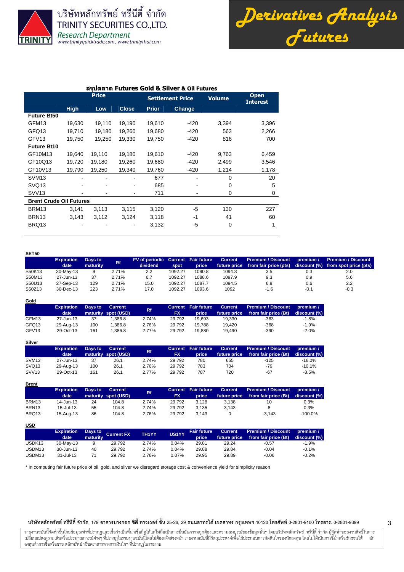

บริษัทหลักทรัพย์ ทรีนีตี้ จำกัด TRINITY SECURITIES CO., LTD. **Research Department** www.trinityquicktrade.com, www.trinitythai.com

*Derivatives Analysis Futures*

# สรุปตลาด Futures Gold & Silver & Oil Futures

|                                |             | <b>Price</b> |                          |              | <b>Settlement Price</b> | <b>Volume</b> | <b>Open</b><br><b>Interest</b> |
|--------------------------------|-------------|--------------|--------------------------|--------------|-------------------------|---------------|--------------------------------|
|                                | <b>High</b> | Low          | <b>Close</b>             | <b>Prior</b> | Change                  |               |                                |
| <b>Future Bt50</b>             |             |              |                          |              |                         |               |                                |
| GFM <sub>13</sub>              | 19,630      | 19,110       | 19,190                   | 19,610       | $-420$                  | 3,394         | 3,396                          |
| GFQ13                          | 19,710      | 19,180       | 19,260                   | 19,680       | $-420$                  | 563           | 2,266                          |
| GFV <sub>13</sub>              | 19,750      | 19,250       | 19,330                   | 19,750       | $-420$                  | 816           | 700                            |
| <b>Future Bt10</b>             |             |              |                          |              |                         |               |                                |
| GF10M13                        | 19,640      | 19,110       | 19,180                   | 19,610       | $-420$                  | 9,763         | 6,459                          |
| GF10Q13                        | 19,720      | 19,180       | 19,260                   | 19,680       | $-420$                  | 2,499         | 3,546                          |
| GF10V13                        | 19,790      | 19,250       | 19,340                   | 19,760       | $-420$                  | 1,214         | 1,178                          |
| SVM <sub>13</sub>              |             |              |                          | 677          |                         | $\Omega$      | 20                             |
| SVQ <sub>13</sub>              |             | ۰            | $\overline{\phantom{a}}$ | 685          |                         | 0             | 5                              |
| <b>SVV13</b>                   |             |              | $\overline{\phantom{a}}$ | 711          |                         | 0             | 0                              |
| <b>Brent Crude Oil Futures</b> |             |              |                          |              |                         |               |                                |
| BRM <sub>13</sub>              | 3,141       | 3,113        | 3.115                    | 3,120        | -5                      | 130           | 227                            |
| BRN <sub>13</sub>              | 3,143       | 3,112        | 3,124                    | 3,118        | $-1$                    | 41            | 60                             |
| BRQ13                          |             |              |                          | 3,132        | -5                      | 0             | 1                              |

#### **SET50**

**Gold**

**Brent**

|        | <b>Expiration</b> | Days to  | <b>Rf</b> | FV of periodic Current Fair future |         |        | <b>Current</b> | <b>Premium / Discount</b> | premium / | <b>Premium / Discount</b> '        |
|--------|-------------------|----------|-----------|------------------------------------|---------|--------|----------------|---------------------------|-----------|------------------------------------|
|        | date              | maturity |           | dividend                           | spot    | price  | future price   | from fair price (pts)     |           | discount (%) from spot price (pts) |
| S50K13 | 30-May-13         |          | 2.71%     | 2.2                                | 1092.27 | 1090.8 | 1094.3         | 3.5                       | 0.3       | 2.0                                |
| S50M13 | 27-Jun-13         | 37       | 2.71%     | 6.7                                | 1092.27 | 1088.6 | 1097.9         | 9.3                       | 0.9       | 5.6                                |
| S50U13 | 27-Sep-13         | 129      | 2.71%     | 15.0                               | 1092.27 | 1087.7 | 1094.5         | 6.8                       | 0.6       | 2.2                                |
| S50Z13 | 30-Dec-13         | 223      | 2.71%     | 17.0                               | 1092.27 | 1093.6 | 1092           | $-1.6$                    | $-0.1$    | $-0.3$                             |

| $rac{1}{2}$       |                   |         |                     |       |           |                            |                |                           |              |
|-------------------|-------------------|---------|---------------------|-------|-----------|----------------------------|----------------|---------------------------|--------------|
|                   | <b>Expiration</b> | Days to | <b>Current</b>      | Rf    |           | <b>Current</b> Fair future | <b>Current</b> | <b>Premium / Discount</b> | premium /    |
|                   | date              |         | maturity spot (USD) |       | <b>FX</b> | price                      | future price   | from fair price (Bt)      | discount (%) |
| GFM <sub>13</sub> | 27-Jun-13         | 37      | .386.8              | 2.74% | 29.792    | 19.693                     | 19.330         | $-363$                    | $-1.8%$      |
| GFQ13             | 29-Aug-13         | 100     | .386.8              | 2.76% | 29.792    | 19.788                     | 19.420         | $-368$                    | $-1.9%$      |
| GFV <sub>13</sub> | 29-Oct-13         | 161     | .386.8              | 2.77% | 29.792    | 19.880                     | 19.490         | $-390$                    | $-2.0%$      |
|                   |                   |         |                     |       |           |                            |                |                           |              |

| <b>Silver</b>     |                   |         |                     |       |           |                            |                |                           |              |
|-------------------|-------------------|---------|---------------------|-------|-----------|----------------------------|----------------|---------------------------|--------------|
|                   | <b>Expiration</b> | Days to | <b>Current</b>      | Rf    |           | <b>Current Fair future</b> | <b>Current</b> | <b>Premium / Discount</b> | premium /    |
|                   | date              |         | maturity spot (USD) |       | <b>FX</b> | price                      | future price   | from fair price (Bt)      | discount (%) |
| SVM <sub>13</sub> | 27-Jun-13         | 37      | 26.1                | 2.74% | 29.792    | 780                        | 655            | $-125$                    | $-16.0\%$    |
| SVQ <sub>13</sub> | 29-Aug-13         | 100     | 26.1                | 2.76% | 29.792    | 783                        | 704            | $-79$                     | $-10.1%$     |
| SVV <sub>13</sub> | 29-Oct-13         | 161     | 26.1                | 2.77% | 29.792    | 787                        | 720            | $-67$                     | $-8.5%$      |

|                   | <b>Expiration</b><br>date | Days to | <b>Current</b><br>maturity spot (USD) | Rf    | <b>FX</b> | <b>Current Fair future</b><br>price | <b>Current</b><br>future price | <b>Premium / Discount</b><br>from fair price (Bt) | premium /<br>discount (%) |
|-------------------|---------------------------|---------|---------------------------------------|-------|-----------|-------------------------------------|--------------------------------|---------------------------------------------------|---------------------------|
| BRM <sub>13</sub> | 14-Jun-13                 | 24      | 104.8                                 | 2.74% | 29.792    | 3.128                               | 3.138                          | 10                                                | 0.3%                      |
| BRN <sub>13</sub> | 15-Jul-13                 | 55      | 104.8                                 | 2.74% | 29.792    | 3.135                               | 3.143                          |                                                   | 0.3%                      |
| BRQ13             | 15-Aug-13                 | 86      | 104.8                                 | 2.76% | 29.792    | 3.143                               |                                | $-3.143$                                          | $-100.0%$                 |

| <u>USD</u>         |                   |          |                   |              |       |                    |                |                           |              |
|--------------------|-------------------|----------|-------------------|--------------|-------|--------------------|----------------|---------------------------|--------------|
|                    | <b>Expiration</b> | Days to  | <b>Current FX</b> | <b>TH1YY</b> | US1YY | <b>Fair future</b> | <b>Current</b> | <b>Premium / Discount</b> | premium /    |
|                    | date              | maturity |                   |              |       | price              | future price   | from fair price (Bt)      | discount (%) |
| USDK <sub>13</sub> | 30-May-13         |          | 29.792            | 2.74%        | 0.04% | 29.81              | 29.24          | $-0.57$                   | $-1.9%$      |
| USDM13             | 30-Jun-13         | 40       | 29.792            | 2.74%        | 0.04% | 29.88              | 29.84          | $-0.04$                   | $-0.1%$      |
| USDM <sub>13</sub> | 31-Jul-13         |          | 29.792            | 2.76%        | 0.07% | 29.95              | 29.89          | $-0.06$                   | $-0.2%$      |

\* In computing fair future price of oil, gold, and silver we disregard storage cost & convenience yield for simplicity reason

### บริษัทหลักทรัพย์ ทรีนีตี้ จำกัด, 179 อาคารบางกอก ซิตี้ ทาวเวอร์ ชั้น 25-26, 29 ถนนสาทรใต้ เตตสาห กรุงเทพฯ 10120 โทรศัพท์ 0-2801-9100 โทรสาร. 0-2801-9399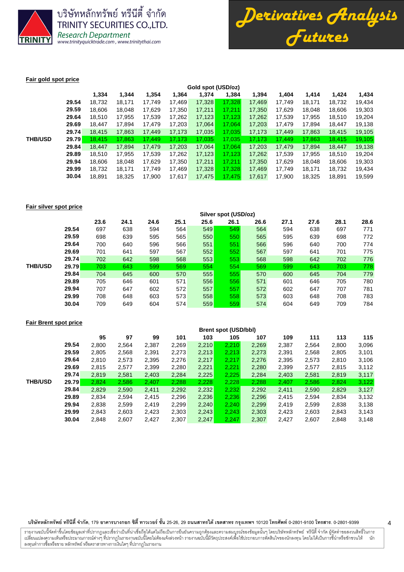

บริษัทหลักทรัพย์ ทรีนีตี้ จำกัด TRINITY SECURITIES CO., LTD. Research Department<br>www.trinityquicktrade.com, www.trinitythai.com



# **Fair gold spot price**

|                |       | Gold spot (USD/oz) |        |        |        |        |        |        |        |        |        |        |  |  |
|----------------|-------|--------------------|--------|--------|--------|--------|--------|--------|--------|--------|--------|--------|--|--|
|                |       | 1,334              | 1,344  | 1,354  | 1,364  | 1,374  | 1,384  | 1,394  | 1,404  | 1,414  | 1,424  | 1,434  |  |  |
|                | 29.54 | 18,732             | 18,171 | 17.749 | 17,469 | 17,328 | 17.328 | 17.469 | 17.749 | 18.171 | 18.732 | 19,434 |  |  |
|                | 29.59 | 18.606             | 18.048 | 17,629 | 17,350 | 17,211 | 17.211 | 17,350 | 17.629 | 18.048 | 18,606 | 19,303 |  |  |
|                | 29.64 | 18.510             | 17,955 | 17,539 | 17,262 | 17,123 | 17.123 | 17,262 | 17,539 | 17,955 | 18.510 | 19,204 |  |  |
|                | 29.69 | 18.447             | 17.894 | 17.479 | 17,203 | 17,064 | 17.064 | 17.203 | 17.479 | 17.894 | 18.447 | 19,138 |  |  |
|                | 29.74 | 18,415             | 17,863 | 17,449 | 17,173 | 17,035 | 17,035 | 17,173 | 17,449 | 17,863 | 18,415 | 19,105 |  |  |
| <b>THB/USD</b> | 29.79 | 18.415             | 17.863 | 17.449 | 17.173 | 17.035 | 17.035 | 17.173 | 17.449 | 17.863 | 18.415 | 19,105 |  |  |
|                | 29.84 | 18,447             | 17,894 | 17,479 | 17,203 | 17,064 | 17,064 | 17,203 | 17,479 | 17,894 | 18,447 | 19,138 |  |  |
|                | 29.89 | 18.510             | 17.955 | 17,539 | 17,262 | 17,123 | 17.123 | 17,262 | 17,539 | 17,955 | 18,510 | 19,204 |  |  |
|                | 29.94 | 18.606             | 18.048 | 17,629 | 17,350 | 17,211 | 17.211 | 17.350 | 17.629 | 18,048 | 18,606 | 19,303 |  |  |
|                | 29.99 | 18.732             | 18.171 | 17.749 | 17,469 | 17,328 | 17.328 | 17,469 | 17.749 | 18,171 | 18.732 | 19,434 |  |  |
|                | 30.04 | 18,891             | 18,325 | 17,900 | 17,617 | 17,475 | 17,475 | 17,617 | 17,900 | 18,325 | 18,891 | 19,599 |  |  |
|                |       |                    |        |        |        |        |        |        |        |        |        |        |  |  |

### **Fair silver spot price**

|                |       | Silver spot (USD/oz) |      |      |      |      |      |      |      |      |      |      |  |  |
|----------------|-------|----------------------|------|------|------|------|------|------|------|------|------|------|--|--|
|                |       | 23.6                 | 24.1 | 24.6 | 25.1 | 25.6 | 26.1 | 26.6 | 27.1 | 27.6 | 28.1 | 28.6 |  |  |
|                | 29.54 | 697                  | 638  | 594  | 564  | 549  | 549  | 564  | 594  | 638  | 697  | 771  |  |  |
|                | 29.59 | 698                  | 639  | 595  | 565  | 550  | 550  | 565  | 595  | 639  | 698  | 772  |  |  |
|                | 29.64 | 700                  | 640  | 596  | 566  | 551  | 551  | 566  | 596  | 640  | 700  | 774  |  |  |
|                | 29.69 | 701                  | 641  | 597  | 567  | 552  | 552  | 567  | 597  | 641  | 701  | 775  |  |  |
|                | 29.74 | 702                  | 642  | 598  | 568  | 553  | 553  | 568  | 598  | 642  | 702  | 776  |  |  |
| <b>THB/USD</b> | 29.79 | 703                  | 643  | 599  | 569  | 554  | 554  | 569  | 599  | 643  | 703  | 778  |  |  |
|                | 29.84 | 704                  | 645  | 600  | 570  | 555  | 555  | 570  | 600  | 645  | 704  | 779  |  |  |
|                | 29.89 | 705                  | 646  | 601  | 571  | 556  | 556  | 571  | 601  | 646  | 705  | 780  |  |  |
|                | 29.94 | 707                  | 647  | 602  | 572  | 557  | 557  | 572  | 602  | 647  | 707  | 781  |  |  |
|                | 29.99 | 708                  | 648  | 603  | 573  | 558  | 558  | 573  | 603  | 648  | 708  | 783  |  |  |
|                | 30.04 | 709                  | 649  | 604  | 574  | 559  | 559  | 574  | 604  | 649  | 709  | 784  |  |  |
|                |       |                      |      |      |      |      |      |      |      |      |      |      |  |  |

## **Fair Brent spot price**

|                |       | <b>Brent spot (USD/bbl)</b> |       |       |       |       |       |       |       |       |       |       |  |
|----------------|-------|-----------------------------|-------|-------|-------|-------|-------|-------|-------|-------|-------|-------|--|
|                |       | 95                          | 97    | 99    | 101   | 103   | 105   | 107   | 109   | 111   | 113   | 115   |  |
|                | 29.54 | 2,800                       | 2,564 | 2,387 | 2,269 | 2,210 | 2.210 | 2,269 | 2,387 | 2,564 | 2,800 | 3,096 |  |
|                | 29.59 | 2,805                       | 2,568 | 2,391 | 2,273 | 2,213 | 2,213 | 2,273 | 2,391 | 2,568 | 2,805 | 3,101 |  |
|                | 29.64 | 2.810                       | 2,573 | 2,395 | 2,276 | 2,217 | 2.217 | 2,276 | 2,395 | 2,573 | 2,810 | 3,106 |  |
|                | 29.69 | 2.815                       | 2,577 | 2,399 | 2,280 | 2,221 | 2,221 | 2,280 | 2,399 | 2,577 | 2,815 | 3,112 |  |
|                | 29.74 | 2,819                       | 2,581 | 2,403 | 2,284 | 2,225 | 2,225 | 2,284 | 2,403 | 2,581 | 2,819 | 3,117 |  |
| <b>THB/USD</b> | 29.79 | 2.824                       | 2,586 | 2,407 | 2,288 | 2,228 | 2,228 | 2.288 | 2,407 | 2,586 | 2,824 | 3,122 |  |
|                | 29.84 | 2,829                       | 2,590 | 2,411 | 2,292 | 2,232 | 2,232 | 2,292 | 2,411 | 2,590 | 2,829 | 3,127 |  |
|                | 29.89 | 2,834                       | 2,594 | 2,415 | 2,296 | 2,236 | 2,236 | 2,296 | 2,415 | 2,594 | 2,834 | 3,132 |  |
|                | 29.94 | 2,838                       | 2,599 | 2.419 | 2,299 | 2,240 | 2,240 | 2,299 | 2.419 | 2,599 | 2,838 | 3,138 |  |
|                | 29.99 | 2,843                       | 2,603 | 2,423 | 2,303 | 2,243 | 2,243 | 2,303 | 2,423 | 2,603 | 2,843 | 3,143 |  |
|                | 30.04 | 2,848                       | 2,607 | 2,427 | 2,307 | 2,247 | 2,247 | 2,307 | 2,427 | 2,607 | 2,848 | 3,148 |  |
|                |       |                             |       |       |       |       |       |       |       |       |       |       |  |

### บริษัทหลักทรัพย์ ทรีนีตี้ จำกัด, 179 อาคารบางกอก ซิตี้ ทาวเวอร์ ชั้น 25-26, 29 ถนนสาทรใต้ เตตสาห กรุงเทพฯ 10120 โทรศัพท์ 0-2801-9100 โทรสาร. 0-2801-9399